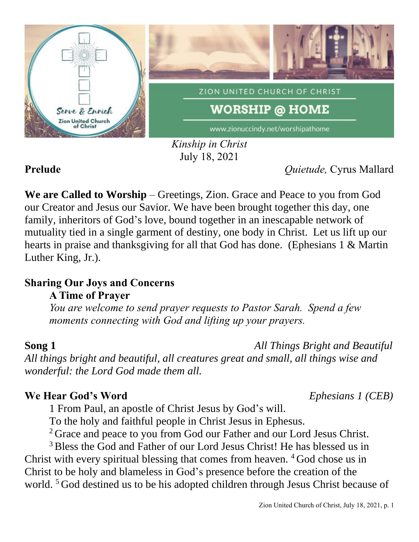

*Kinship in Christ* July 18, 2021

**Prelude** *Quietude,* Cyrus Mallard

**We are Called to Worship** – Greetings, Zion. Grace and Peace to you from God our Creator and Jesus our Savior. We have been brought together this day, one family, inheritors of God's love, bound together in an inescapable network of mutuality tied in a single garment of destiny, one body in Christ. Let us lift up our hearts in praise and thanksgiving for all that God has done. (Ephesians 1 & Martin Luther King, Jr.).

### **Sharing Our Joys and Concerns A Time of Prayer**

*You are welcome to send prayer requests to Pastor Sarah. Spend a few moments connecting with God and lifting up your prayers.*

**Song 1** *All Things Bright and Beautiful*

*All things bright and beautiful, all creatures great and small, all things wise and wonderful: the Lord God made them all.*

## **We Hear God's Word** *Ephesians 1 (CEB)*

1 From Paul, an apostle of Christ Jesus by God's will.

To the holy and faithful people in Christ Jesus in Ephesus.

<sup>2</sup> Grace and peace to you from God our Father and our Lord Jesus Christ.

<sup>3</sup> Bless the God and Father of our Lord Jesus Christ! He has blessed us in Christ with every spiritual blessing that comes from heaven. <sup>4</sup> God chose us in Christ to be holy and blameless in God's presence before the creation of the world. <sup>5</sup> God destined us to be his adopted children through Jesus Christ because of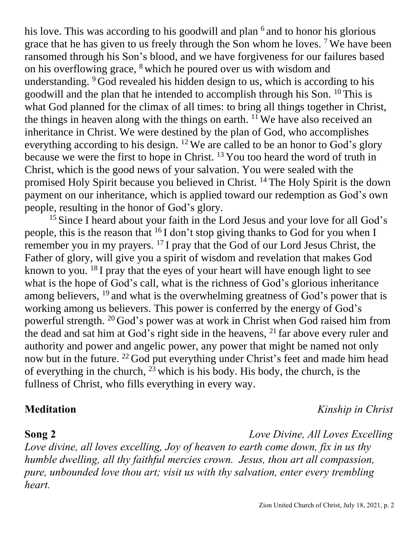his love. This was according to his goodwill and plan <sup>6</sup> and to honor his glorious grace that he has given to us freely through the Son whom he loves. <sup>7</sup> We have been ransomed through his Son's blood, and we have forgiveness for our failures based on his overflowing grace, <sup>8</sup> which he poured over us with wisdom and understanding. <sup>9</sup> God revealed his hidden design to us, which is according to his goodwill and the plan that he intended to accomplish through his Son. <sup>10</sup> This is what God planned for the climax of all times: to bring all things together in Christ, the things in heaven along with the things on earth.  $11$  We have also received an inheritance in Christ. We were destined by the plan of God, who accomplishes everything according to his design. <sup>12</sup> We are called to be an honor to God's glory because we were the first to hope in Christ. <sup>13</sup> You too heard the word of truth in Christ, which is the good news of your salvation. You were sealed with the promised Holy Spirit because you believed in Christ. <sup>14</sup> The Holy Spirit is the down payment on our inheritance, which is applied toward our redemption as God's own people, resulting in the honor of God's glory.

<sup>15</sup> Since I heard about your faith in the Lord Jesus and your love for all God's people, this is the reason that <sup>16</sup> I don't stop giving thanks to God for you when I remember you in my prayers. <sup>17</sup> I pray that the God of our Lord Jesus Christ, the Father of glory, will give you a spirit of wisdom and revelation that makes God known to you. <sup>18</sup> I pray that the eyes of your heart will have enough light to see what is the hope of God's call, what is the richness of God's glorious inheritance among believers, <sup>19</sup> and what is the overwhelming greatness of God's power that is working among us believers. This power is conferred by the energy of God's powerful strength. <sup>20</sup> God's power was at work in Christ when God raised him from the dead and sat him at God's right side in the heavens, <sup>21</sup> far above every ruler and authority and power and angelic power, any power that might be named not only now but in the future. <sup>22</sup> God put everything under Christ's feet and made him head of everything in the church, <sup>23</sup> which is his body. His body, the church, is the fullness of Christ, who fills everything in every way.

**Meditation** *Kinship in Christ*

**Song 2** *Love Divine, All Loves Excelling Love divine, all loves excelling, Joy of heaven to earth come down, fix in us thy humble dwelling, all thy faithful mercies crown. Jesus, thou art all compassion, pure, unbounded love thou art; visit us with thy salvation, enter every trembling heart.*